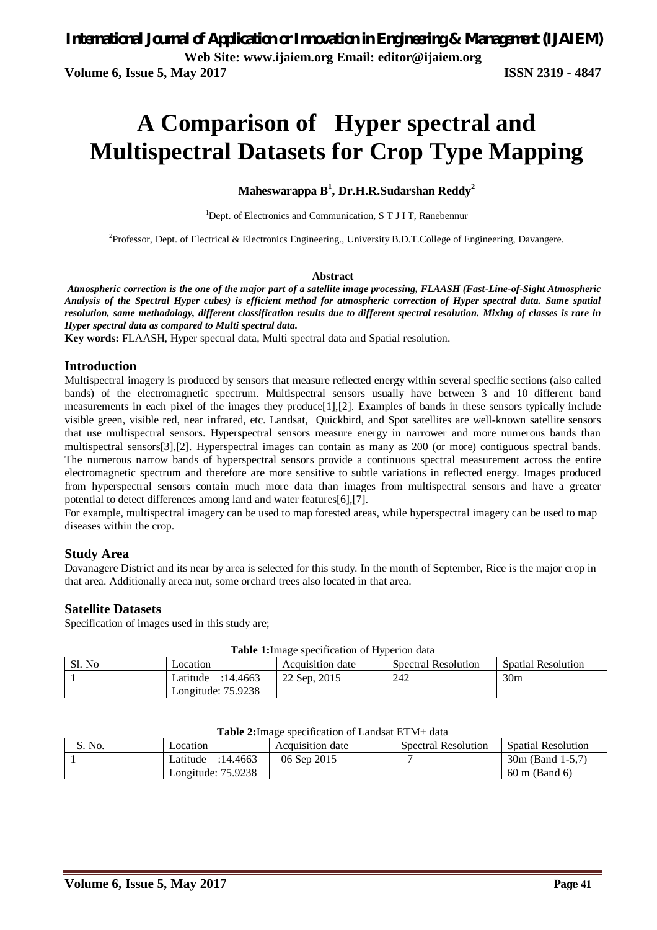**Volume 6, Issue 5, May 2017 ISSN 2319 - 4847**

# **A Comparison of Hyper spectral and Multispectral Datasets for Crop Type Mapping**

**Maheswarappa B<sup>1</sup> , Dr.H.R.Sudarshan Reddy<sup>2</sup>**

<sup>1</sup>Dept. of Electronics and Communication,  $S T J I T$ , Ranebennur

<sup>2</sup>Professor, Dept. of Electrical & Electronics Engineering., University B.D.T.College of Engineering, Davangere.

#### **Abstract**

*Atmospheric correction is the one of the major part of a satellite image processing, FLAASH (Fast-Line-of-Sight Atmospheric Analysis of the Spectral Hyper cubes) is efficient method for atmospheric correction of Hyper spectral data. Same spatial resolution, same methodology, different classification results due to different spectral resolution. Mixing of classes is rare in Hyper spectral data as compared to Multi spectral data.*

**Key words:** FLAASH, Hyper spectral data, Multi spectral data and Spatial resolution.

### **Introduction**

Multispectral imagery is produced by sensors that measure reflected energy within several specific sections (also called bands) of the electromagnetic spectrum. Multispectral sensors usually have between 3 and 10 different band measurements in each pixel of the images they produce[1],[2]. Examples of bands in these sensors typically include visible green, visible red, near infrared, etc. Landsat, Quickbird, and Spot satellites are well-known satellite sensors that use multispectral sensors. Hyperspectral sensors measure energy in narrower and more numerous bands than multispectral sensors[3],[2]. Hyperspectral images can contain as many as 200 (or more) contiguous spectral bands. The numerous narrow bands of hyperspectral sensors provide a continuous spectral measurement across the entire electromagnetic spectrum and therefore are more sensitive to subtle variations in reflected energy. Images produced from hyperspectral sensors contain much more data than images from multispectral sensors and have a greater potential to detect differences among land and water features[6],[7].

For example, multispectral imagery can be used to map forested areas, while hyperspectral imagery can be used to map diseases within the crop.

#### **Study Area**

Davanagere District and its near by area is selected for this study. In the month of September, Rice is the major crop in that area. Additionally areca nut, some orchard trees also located in that area.

#### **Satellite Datasets**

Specification of images used in this study are;

| Sl. No | Location             | Acquisition date | Spectral Resolution | <b>Spatial Resolution</b> |
|--------|----------------------|------------------|---------------------|---------------------------|
|        | :14.4663<br>Latitude | 22 Sep. 2015     | 242                 | 30 <sub>m</sub>           |
|        | Longitude: $75.9238$ |                  |                     |                           |

**Table 1:**Image specification of Hyperion data

| $\blacksquare$ |                      |                  |                     |                            |  |  |  |
|----------------|----------------------|------------------|---------------------|----------------------------|--|--|--|
| S. No.         | .ocation             | Acquisition date | Spectral Resolution | <b>Spatial Resolution</b>  |  |  |  |
|                | :14.4663<br>Latitude | 06 Sep 2015      |                     | $30m$ (Band 1-5.7)         |  |  |  |
|                | Longitude: $75.9238$ |                  |                     | $60 \text{ m}$ (Band $6$ ) |  |  |  |

**Table 2:**Image specification of Landsat ETM+ data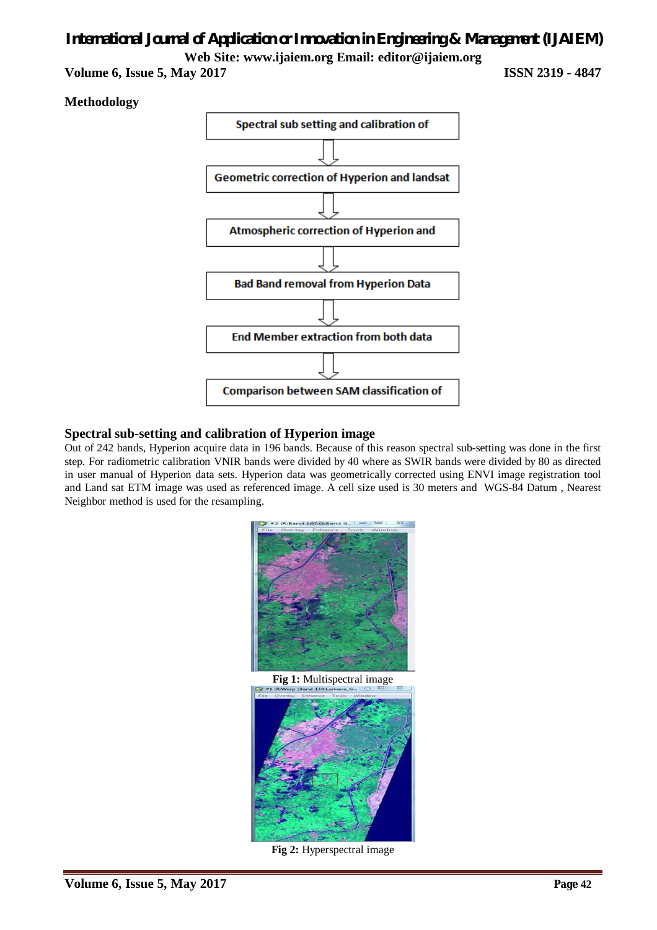# *International Journal of Application or Innovation in Engineering & Management (IJAIEM)*

**Web Site: www.ijaiem.org Email: editor@ijaiem.org**

**Volume 6, Issue 5, May 2017 ISSN 2319 - 4847**

# **Methodology**



# **Spectral sub-setting and calibration of Hyperion image**

Out of 242 bands, Hyperion acquire data in 196 bands. Because of this reason spectral sub-setting was done in the first step. For radiometric calibration VNIR bands were divided by 40 where as SWIR bands were divided by 80 as directed in user manual of Hyperion data sets. Hyperion data was geometrically corrected using ENVI image registration tool and Land sat ETM image was used as referenced image. A cell size used is 30 meters and WGS-84 Datum , Nearest Neighbor method is used for the resampling.



**Fig 2:** Hyperspectral image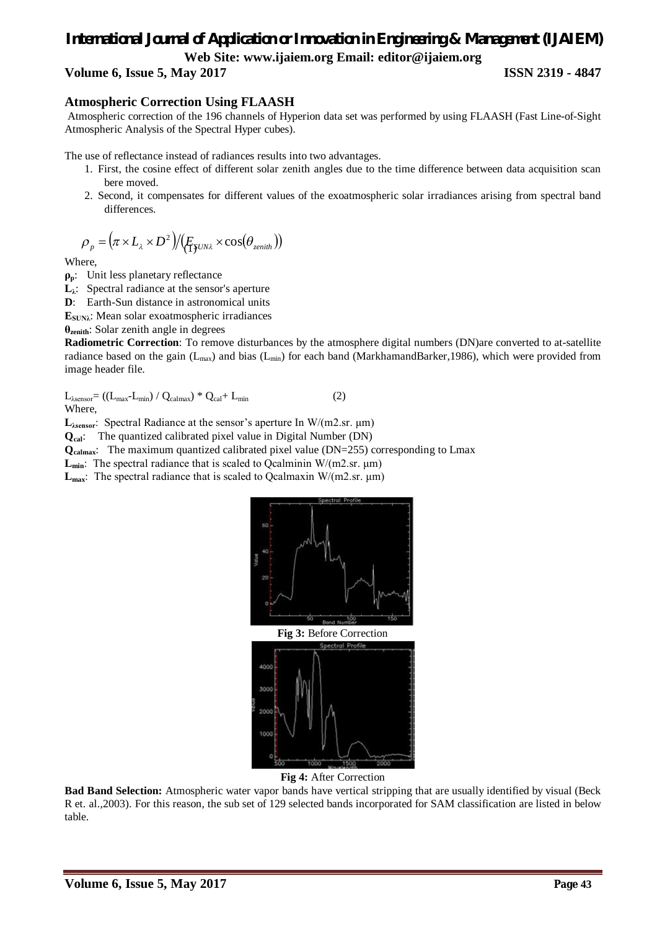# *International Journal of Application or Innovation in Engineering & Management (IJAIEM)* **Web Site: www.ijaiem.org Email: editor@ijaiem.org**

**Volume 6, Issue 5, May 2017 ISSN 2319 - 4847**

### **Atmospheric Correction Using FLAASH**

Atmospheric correction of the 196 channels of Hyperion data set was performed by using FLAASH (Fast Line-of-Sight Atmospheric Analysis of the Spectral Hyper cubes).

The use of reflectance instead of radiances results into two advantages.

- 1. First, the cosine effect of different solar zenith angles due to the time difference between data acquisition scan bere moved.
- 2. Second, it compensates for different values of the exoatmospheric solar irradiances arising from spectral band differences.

$$
\rho_p = (\pi \times L_\lambda \times D^2) / (F_{\text{FJUNA}} \times \cos(\theta_{\text{zenith}}))
$$

Where,

- **ρp**: Unit less planetary reflectance
- **L<sub>λ</sub>**: Spectral radiance at the sensor's aperture
- **D**: Earth-Sun distance in astronomical units

**ESUNλ**: Mean solar exoatmospheric irradiances

**θzenith**: Solar zenith angle in degrees

**Radiometric Correction**: To remove disturbances by the atmosphere digital numbers (DN)are converted to at-satellite radiance based on the gain ( $L_{max}$ ) and bias ( $L_{min}$ ) for each band (MarkhamandBarker, 1986), which were provided from image header file.

 $L_{\lambda$ sensor=  $((L_{\text{max}}-L_{\text{min}})/Q_{\text{calmax}})*Q_{\text{cal}}+L_{\text{min}}$  (2) Where,

**Lλsensor**: Spectral Radiance at the sensor's aperture In W/(m2.sr. μm)

**Qcal**: The quantized calibrated pixel value in Digital Number (DN)

**Qcalmax**: The maximum quantized calibrated pixel value (DN=255) corresponding to Lmax

**L<sub>min</sub>**: The spectral radiance that is scaled to Qcalminin W/(m2.sr. μm)

**L**<sub>max</sub>: The spectral radiance that is scaled to Qcalmaxin W/(m2.sr. μm)



**Fig 4:** After Correction

**Bad Band Selection:** Atmospheric water vapor bands have vertical stripping that are usually identified by visual (Beck R et. al.,2003). For this reason, the sub set of 129 selected bands incorporated for SAM classification are listed in below table.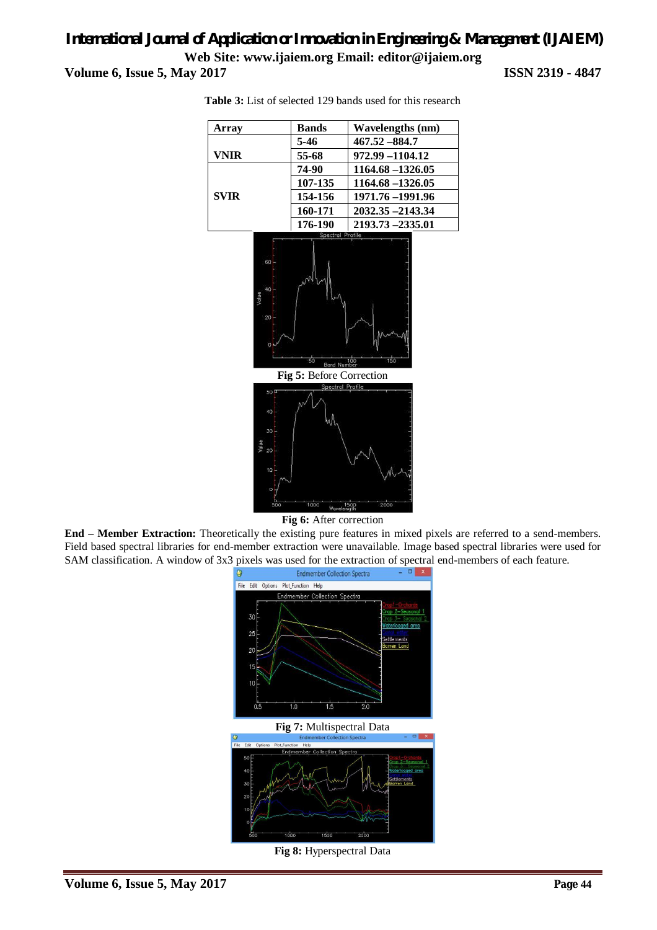# *International Journal of Application or Innovation in Engineering & Management (IJAIEM)* **Web Site: www.ijaiem.org Email: editor@ijaiem.org Volume 6, Issue 5, May 2017 ISSN 2319 - 4847**



**Table 3:** List of selected 129 bands used for this research

**Fig 6:** After correction

**End – Member Extraction:** Theoretically the existing pure features in mixed pixels are referred to a send-members. Field based spectral libraries for end-member extraction were unavailable. Image based spectral libraries were used for SAM classification. A window of 3x3 pixels was used for the extraction of spectral end-members of each feature.



**Fig 8:** Hyperspectral Data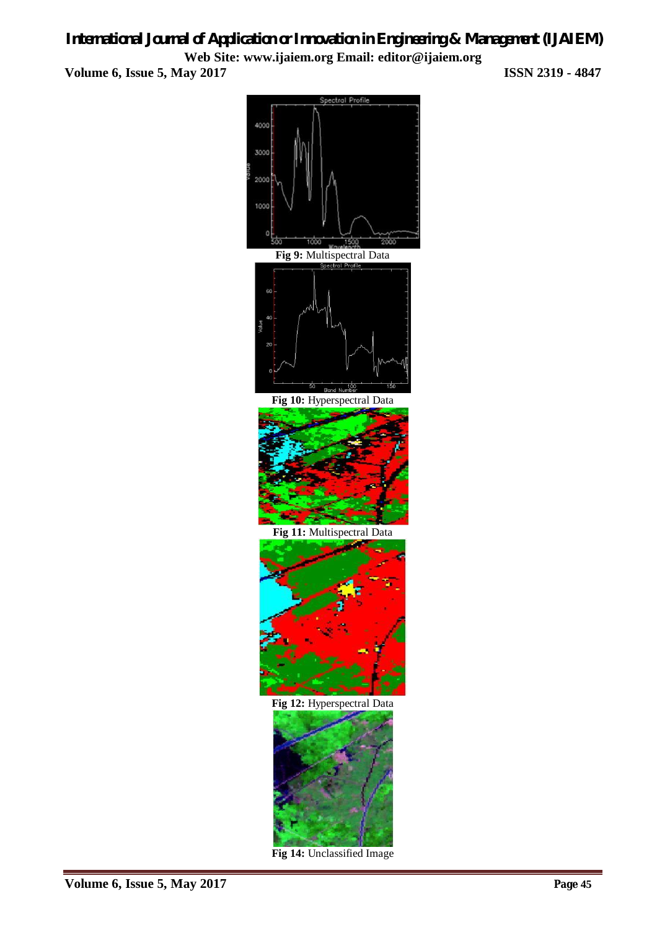*International Journal of Application or Innovation in Engineering & Management (IJAIEM)* **Web Site: www.ijaiem.org Email: editor@ijaiem.org Volume 6, Issue 5, May 2017 ISSN 2319 - 4847**



**Fig 14:** Unclassified Image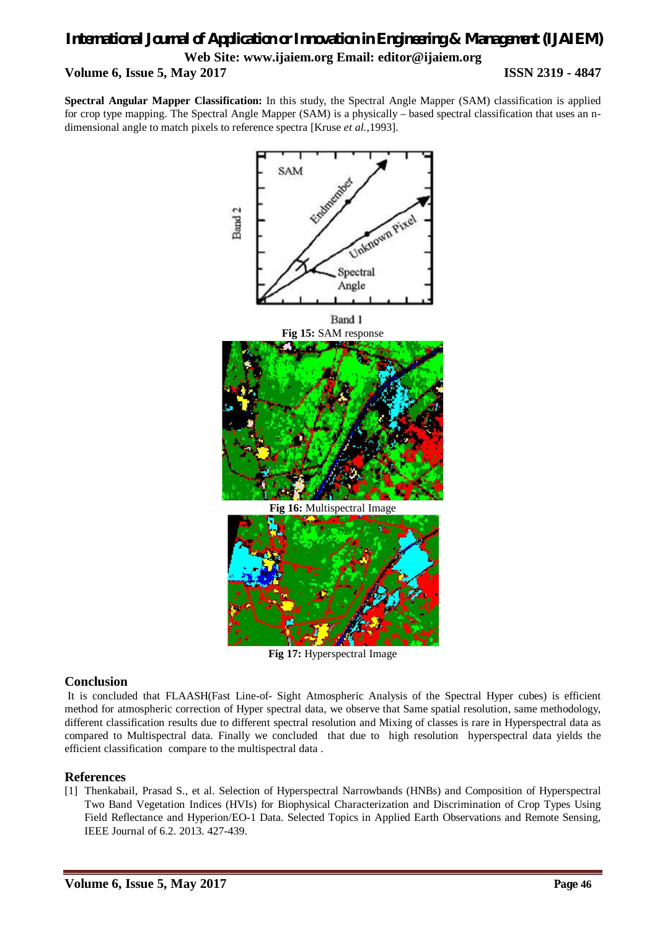# *International Journal of Application or Innovation in Engineering & Management (IJAIEM)* **Web Site: www.ijaiem.org Email: editor@ijaiem.org Volume 6, Issue 5, May 2017 ISSN 2319 - 4847**

**Spectral Angular Mapper Classification:** In this study, the Spectral Angle Mapper (SAM) classification is applied for crop type mapping. The Spectral Angle Mapper (SAM) is a physically – based spectral classification that uses an ndimensional angle to match pixels to reference spectra [Kruse *et al.*,1993].



**Fig 17:** Hyperspectral Image

# **Conclusion**

It is concluded that FLAASH(Fast Line-of- Sight Atmospheric Analysis of the Spectral Hyper cubes) is efficient method for atmospheric correction of Hyper spectral data, we observe that Same spatial resolution, same methodology, different classification results due to different spectral resolution and Mixing of classes is rare in Hyperspectral data as compared to Multispectral data. Finally we concluded that due to high resolution hyperspectral data yields the efficient classification compare to the multispectral data .

# **References**

[1] Thenkabail, Prasad S., et al. Selection of Hyperspectral Narrowbands (HNBs) and Composition of Hyperspectral Two Band Vegetation Indices (HVIs) for Biophysical Characterization and Discrimination of Crop Types Using Field Reflectance and Hyperion/EO-1 Data. Selected Topics in Applied Earth Observations and Remote Sensing, IEEE Journal of 6.2. 2013. 427-439.